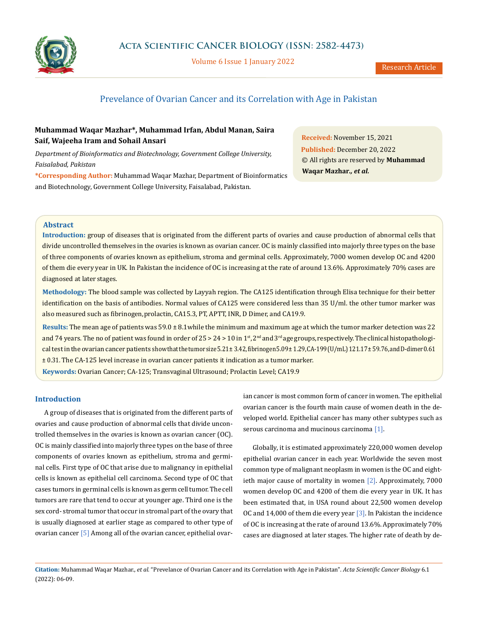

Volume 6 Issue 1 January 2022

# Prevelance of Ovarian Cancer and its Correlation with Age in Pakistan

# **Muhammad Waqar Mazhar\*, Muhammad Irfan, Abdul Manan, Saira Saif, Wajeeha Iram and Sohail Ansari**

*Department of Bioinformatics and Biotechnology, Government College University, Faisalabad, Pakistan*

**\*Corresponding Author:** Muhammad Waqar Mazhar, Department of Bioinformatics and Biotechnology, Government College University, Faisalabad, Pakistan.

**Received:** November 15, 2021 **Published:** December 20, 2022 © All rights are reserved by **Muhammad Waqar Mazhar***., et al.*

# **Abstract**

**Introduction:** group of diseases that is originated from the different parts of ovaries and cause production of abnormal cells that divide uncontrolled themselves in the ovaries is known as ovarian cancer. OC is mainly classified into majorly three types on the base of three components of ovaries known as epithelium, stroma and germinal cells. Approximately, 7000 women develop OC and 4200 of them die every year in UK. In Pakistan the incidence of OC is increasing at the rate of around 13.6%. Approximately 70% cases are diagnosed at later stages.

**Methodology:** The blood sample was collected by Layyah region. The CA125 identification through Elisa technique for their better identification on the basis of antibodies. Normal values of CA125 were considered less than 35 U/ml. the other tumor marker was also measured such as fibrinogen, prolactin, CA15.3, PT, APTT, INR, D Dimer, and CA19.9.

**Results:** The mean age of patients was 59.0 ± 8.1while the minimum and maximum age at which the tumor marker detection was 22 and 74 years. The no of patient was found in order of  $25 > 24 > 10$  in  $1<sup>st</sup>$ ,  $2<sup>nd</sup>$  and  $3<sup>rd</sup>$  age groups, respectively. The clinical histopathological test in the ovarian cancer patients show that the tumor size  $5.21 \pm 3.42$ , fibrinogen  $5.09 \pm 1.29$ , CA-199 (U/mL)  $121.17 \pm 59.76$ , and D-dimer 0.61 ± 0.31. The CA-125 level increase in ovarian cancer patients it indication as a tumor marker.

**Keywords:** Ovarian Cancer; CA-125; Transvaginal Ultrasound; Prolactin Level; CA19.9

# **Introduction**

A group of diseases that is originated from the different parts of ovaries and cause production of abnormal cells that divide uncontrolled themselves in the ovaries is known as ovarian cancer (OC). OC is mainly classified into majorly three types on the base of three components of ovaries known as epithelium, stroma and germinal cells. First type of OC that arise due to malignancy in epithelial cells is known as epithelial cell carcinoma. Second type of OC that cases tumors in germinal cells is known as germ cell tumor. The cell tumors are rare that tend to occur at younger age. Third one is the sex cord- stromal tumor that occur in stromal part of the ovary that is usually diagnosed at earlier stage as compared to other type of ovarian cancer [5] Among all of the ovarian cancer, epithelial ovarian cancer is most common form of cancer in women. The epithelial ovarian cancer is the fourth main cause of women death in the developed world. Epithelial cancer has many other subtypes such as serous carcinoma and mucinous carcinoma [1].

Globally, it is estimated approximately 220,000 women develop epithelial ovarian cancer in each year. Worldwide the seven most common type of malignant neoplasm in women is the OC and eightieth major cause of mortality in women [2]. Approximately, 7000 women develop OC and 4200 of them die every year in UK. It has been estimated that, in USA round about 22,500 women develop OC and 14,000 of them die every year [3]. In Pakistan the incidence of OC is increasing at the rate of around 13.6%. Approximately 70% cases are diagnosed at later stages. The higher rate of death by de-

**Citation:** Muhammad Waqar Mazhar., *et al.* "Prevelance of Ovarian Cancer and its Correlation with Age in Pakistan". *Acta Scientific Cancer Biology* 6.1 (2022): 06-09.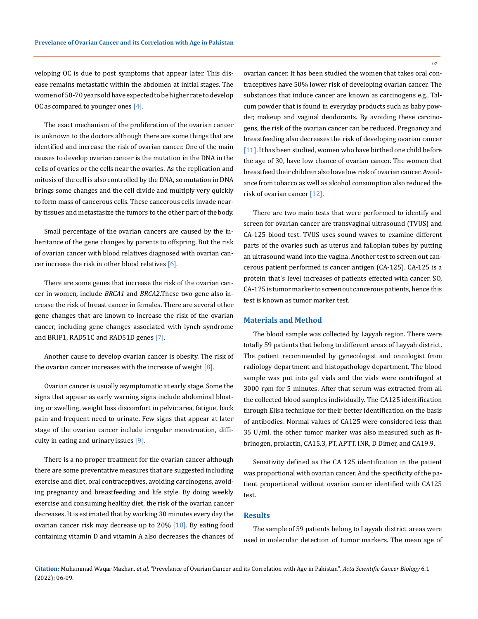veloping OC is due to post symptoms that appear later. This disease remains metastatic within the abdomen at initial stages. The women of 50-70 years old have expected to be higher rate to develop OC as compared to younger ones  $[4]$ .

The exact mechanism of the proliferation of the ovarian cancer is unknown to the doctors although there are some things that are identified and increase the risk of ovarian cancer. One of the main causes to develop ovarian cancer is the mutation in the DNA in the cells of ovaries or the cells near the ovaries. As the replication and mitosis of the cell is also controlled by the DNA, so mutation in DNA brings some changes and the cell divide and multiply very quickly to form mass of cancerous cells. These cancerous cells invade nearby tissues and metastasize the tumors to the other part of the body.

Small percentage of the ovarian cancers are caused by the inheritance of the gene changes by parents to offspring. But the risk of ovarian cancer with blood relatives diagnosed with ovarian cancer increase the risk in other blood relatives  $[6]$ .

There are some genes that increase the risk of the ovarian cancer in women, include *BRCA1* and *BRCA2*.These two gene also increase the risk of breast cancer in females. There are several other gene changes that are known to increase the risk of the ovarian cancer, including gene changes associated with lynch syndrome and BRIP1, RAD51C and RAD51D genes [7].

Another cause to develop ovarian cancer is obesity. The risk of the ovarian cancer increases with the increase of weight  $[8]$ .

Ovarian cancer is usually asymptomatic at early stage. Some the signs that appear as early warning signs include abdominal bloating or swelling, weight loss discomfort in pelvic area, fatigue, back pain and frequent need to urinate. Few signs that appear at later stage of the ovarian cancer include irregular menstruation, difficulty in eating and urinary issues [9].

There is a no proper treatment for the ovarian cancer although there are some preventative measures that are suggested including exercise and diet, oral contraceptives, avoiding carcinogens, avoiding pregnancy and breastfeeding and life style. By doing weekly exercise and consuming healthy diet, the risk of the ovarian cancer decreases. It is estimated that by working 30 minutes every day the ovarian cancer risk may decrease up to  $20\%$  [10]. By eating food containing vitamin D and vitamin A also decreases the chances of ovarian cancer. It has been studied the women that takes oral contraceptives have 50% lower risk of developing ovarian cancer. The substances that induce cancer are known as carcinogens e.g., Talcum powder that is found in everyday products such as baby powder, makeup and vaginal deodorants. By avoiding these carcinogens, the risk of the ovarian cancer can be reduced. Pregnancy and breastfeeding also decreases the risk of developing ovarian cancer [11]. It has been studied, women who have birthed one child before the age of 30, have low chance of ovarian cancer. The women that breastfeed their children also have low risk of ovarian cancer. Avoidance from tobacco as well as alcohol consumption also reduced the risk of ovarian cancer [12].

There are two main tests that were performed to identify and screen for ovarian cancer are transvaginal ultrasound (TVUS) and CA-125 blood test. TVUS uses sound waves to examine different parts of the ovaries such as uterus and fallopian tubes by putting an ultrasound wand into the vagina. Another test to screen out cancerous patient performed is cancer antigen (CA-125). CA-125 is a protein that's level increases of patients effected with cancer. SO, CA-125 is tumor marker to screen out cancerous patients, hence this test is known as tumor marker test.

#### **Materials and Method**

The blood sample was collected by Layyah region. There were totally 59 patients that belong to different areas of Layyah district. The patient recommended by gynecologist and oncologist from radiology department and histopathology department. The blood sample was put into gel vials and the vials were centrifuged at 3000 rpm for 5 minutes. After that serum was extracted from all the collected blood samples individually. The CA125 identification through Elisa technique for their better identification on the basis of antibodies. Normal values of CA125 were considered less than 35 U/ml. the other tumor marker was also measured such as fibrinogen, prolactin, CA15.3, PT, APTT, INR, D Dimer, and CA19.9.

Sensitivity defined as the CA 125 identification in the patient was proportional with ovarian cancer. And the specificity of the patient proportional without ovarian cancer identified with CA125 test.

### **Results**

The sample of 59 patients belong to Layyah district areas were used in molecular detection of tumor markers. The mean age of

07

**Citation:** Muhammad Waqar Mazhar., *et al.* "Prevelance of Ovarian Cancer and its Correlation with Age in Pakistan". *Acta Scientific Cancer Biology* 6.1 (2022): 06-09.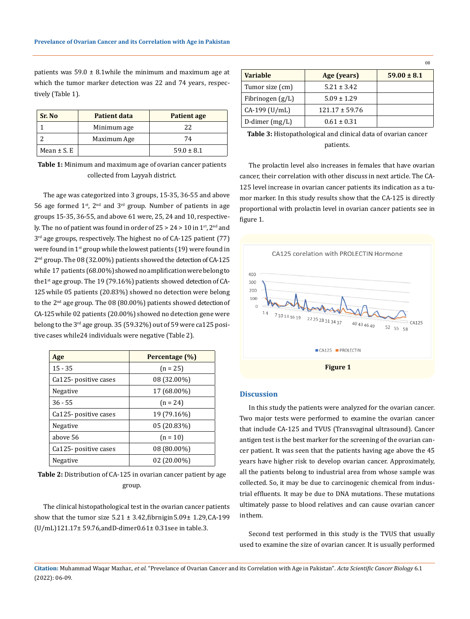patients was  $59.0 \pm 8.1$  while the minimum and maximum age at which the tumor marker detection was 22 and 74 years, respectively (Table 1).

| Sr. No          | <b>Patient data</b> | Patient age    |
|-----------------|---------------------|----------------|
|                 | Minimum age         | 22             |
|                 | Maximum Age         | 74             |
| Mean $\pm$ S. E |                     | $59.0 \pm 8.1$ |

**Table 1:** Minimum and maximum age of ovarian cancer patients collected from Layyah district.

The age was categorized into 3 groups, 15-35, 36-55 and above 56 age formed  $1^{st}$ ,  $2^{nd}$  and  $3^{rd}$  group. Number of patients in age groups 15-35, 36-55, and above 61 were, 25, 24 and 10, respectively. The no of patient was found in order of  $25 > 24 > 10$  in  $1<sup>st</sup>$ ,  $2<sup>nd</sup>$  and  $3<sup>rd</sup>$  age groups, respectively. The highest no of CA-125 patient (77) were found in  $1^{st}$  group while the lowest patients (19) were found in 2<sup>nd</sup> group. The 08 (32.00%) patients showed the detection of CA-125 while 17 patients (68.00%) showed no amplification were belong to the1<sup>st</sup> age group. The 19 (79.16%) patients showed detection of CA-125 while 05 patients (20.83%) showed no detection were belong to the  $2<sup>nd</sup>$  age group. The 08 (80.00%) patients showed detection of CA-125 while 02 patients (20.00%) showed no detection gene were belong to the 3<sup>rd</sup> age group. 35 (59.32%) out of 59 were ca125 positive cases while24 individuals were negative (Table 2).

| Age                   | Percentage (%) |  |
|-----------------------|----------------|--|
| $15 - 35$             | $(n = 25)$     |  |
| Ca125- positive cases | 08 (32.00%)    |  |
| Negative              | 17 (68.00%)    |  |
| $36 - 55$             | $(n = 24)$     |  |
| Ca125- positive cases | 19 (79.16%)    |  |
| Negative              | 05 (20.83%)    |  |
| above 56              | $(n = 10)$     |  |
| Ca125- positive cases | 08 (80.00%)    |  |
| Negative              | $02(20.00\%)$  |  |

**Table 2:** Distribution of CA-125 in ovarian cancer patient by age group.

The clinical histopathological test in the ovarian cancer patients show that the tumor size  $5.21 \pm 3.42$ , fibrnigin  $5.09 \pm 1.29$ , CA-199 (U/mL) 121.17± 59.76, and D-dimer 0.61± 0.31 see in table.3.

|                    |                    | 08              |
|--------------------|--------------------|-----------------|
| <b>Variable</b>    | Age (years)        | $59.00 \pm 8.1$ |
| Tumor size (cm)    | $5.21 \pm 3.42$    |                 |
| Fibrinogen $(g/L)$ | $5.09 \pm 1.29$    |                 |
| $CA-199$ (U/mL)    | $121.17 \pm 59.76$ |                 |
| D-dimer $(mg/L)$   | $0.61 \pm 0.31$    |                 |

**Table 3:** Histopathological and clinical data of ovarian cancer patients.

The prolactin level also increases in females that have ovarian cancer, their correlation with other discuss in next article. The CA-125 level increase in ovarian cancer patients its indication as a tumor marker. In this study results show that the CA-125 is directly proportional with prolactin level in ovarian cancer patients see in figure 1.



#### **Discussion**

In this study the patients were analyzed for the ovarian cancer. Two major tests were performed to examine the ovarian cancer that include CA-125 and TVUS (Transvaginal ultrasound). Cancer antigen test is the best marker for the screening of the ovarian cancer patient. It was seen that the patients having age above the 45 years have higher risk to develop ovarian cancer. Approximately, all the patients belong to industrial area from whose sample was collected. So, it may be due to carcinogenic chemical from industrial effluents. It may be due to DNA mutations. These mutations ultimately passe to blood relatives and can cause ovarian cancer in them.

Second test performed in this study is the TVUS that usually used to examine the size of ovarian cancer. It is usually performed

**Citation:** Muhammad Waqar Mazhar., *et al.* "Prevelance of Ovarian Cancer and its Correlation with Age in Pakistan". *Acta Scientific Cancer Biology* 6.1 (2022): 06-09.